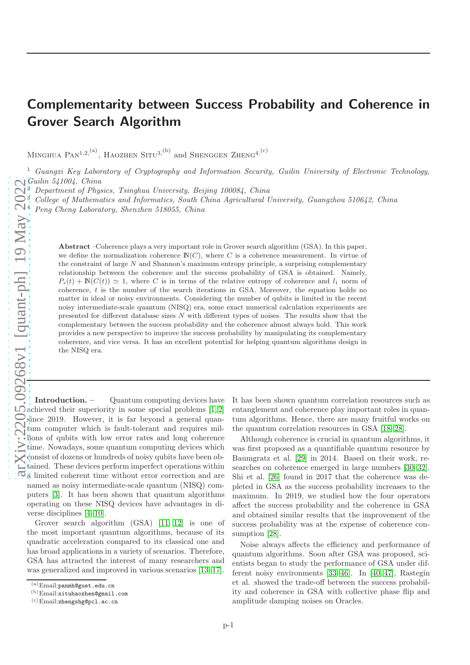## Complementarity between Success Probability and Coherence in Grover Search Algorithm

MINGHUA  $\text{PAN}^{1,2,(\text{a})}$ , HAOZHEN SITU<sup>3, (b)</sup> and SHENGGEN ZHENG<sup>4, (c)</sup>

<sup>1</sup> Guangxi Key Laboratory of Cryptography and Information Security, Guilin University of Electronic Technology, Guilin 541004, China

<sup>2</sup> Department of Physics, Tsinghua University, Beijing 100084, China

<sup>3</sup> College of Mathematics and Informatics, South China Agricultural University, Guangzhou 510642, China

<sup>4</sup> Peng Cheng Laboratory, Shenzhen 518055, China

Abstract –Coherence plays a very important role in Grover search algorithm (GSA). In this paper, we define the normalization coherence  $\mathbb{N}(C)$ , where C is a coherence measurement. In virtue of the constraint of large N and Shannon's maximum entropy principle, a surprising complementary relationship between the coherence and the success probability of GSA is obtained. Namely,  $P_s(t) + \mathbb{N}(C(t)) \simeq 1$ , where C is in terms of the relative entropy of coherence and  $l_1$  norm of coherence, t is the number of the search iterations in GSA. Moreover, the equation holds no matter in ideal or noisy environments. Considering the number of qubits is limited in the recent noisy intermediate-scale quantum (NISQ) era, some exact numerical calculation experiments are presented for different database sizes N with different types of noises. The results show that the complementary between the success probability and the coherence almost always hold. This work provides a new perspective to improve the success probability by manipulating its complementary coherence, and vice versa. It has an excellent potential for helping quantum algorithms design in the NISQ era.

Introduction. – Quantum computing devices have achieved their superiority in some special problems [\[1,](#page-6-0) [2\]](#page-6-1) since 2019. However, it is far beyond a general quantum computer which is fault-tolerant and requires millions of qubits with low error rates and long coherence time. Nowadays, some quantum computing devices which consist of dozens or hundreds of noisy qubits have been obtained. These devices perform imperfect operations within a limited coherent time without error correction and are tained. These devices perform imperiode  $\sigma_r$ .<br> $\vec{\Omega}$  a limited coherent time without error correction and are puters [\[3\]](#page-6-2). It has been shown that quantum algorithms operating on these NISQ devices have advantages in diverse disciplines [\[4–](#page-6-3)[10\]](#page-6-4).

Grover search algorithm (GSA) [\[11,](#page-6-5) [12\]](#page-6-6) is one of the most important quantum algorithms, because of its quadratic acceleration compared to its classical one and has broad applications in a variety of scenarios. Therefore, GSA has attracted the interest of many researchers and was generalized and improved in various scenarios [\[13–](#page-6-7)[17\]](#page-6-8).

It has been shown quantum correlation resources such as entanglement and coherence play important roles in quantum algorithms. Hence, there are many fruitful works on the quantum correlation resources in GSA [\[18–](#page-6-9)[28\]](#page-6-10).

Although coherence is crucial in quantum algorithms, it was first proposed as a quantifiable quantum resource by Baumgratz et al. [\[29\]](#page-6-11) in 2014. Based on their work, researches on coherence emerged in large numbers [\[30–](#page-6-12)[32\]](#page-6-13). Shi et al. [\[26\]](#page-6-14) found in 2017 that the coherence was depleted in GSA as the success probability increases to the maximum. In 2019, we studied how the four operators affect the success probability and the coherence in GSA and obtained similar results that the improvement of the success probability was at the expense of coherence consumption [\[28\]](#page-6-10).

Noise always affects the efficiency and performance of quantum algorithms. Soon after GSA was proposed, scientists began to study the performance of GSA under different noisy environments [\[33–](#page-6-15)[46\]](#page-6-16). In [\[40,](#page-6-17) [47\]](#page-6-18), Rastegin et al. showed the trade-off between the success probability and coherence in GSA with collective phase flip and amplitude damping noises on Oracles.

<sup>(</sup>a)Email:panmh@guet.edu.cn

<sup>(</sup>b)Email:situhaozhen@gmail.com

<sup>(</sup>c)Email:zhengshg@pcl.ac.cn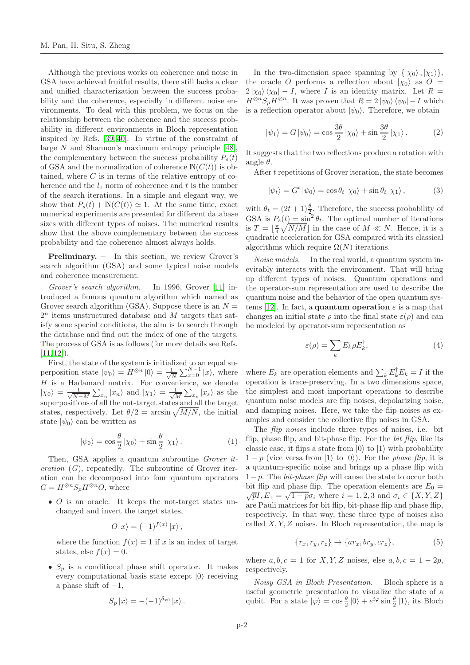Although the previous works on coherence and noise in GSA have achieved fruitful results, there still lacks a clear and unified characterization between the success probability and the coherence, especially in different noise environments. To deal with this problem, we focus on the relationship between the coherence and the success probability in different environments in Bloch representation inspired by Refs. [\[39,](#page-6-19) [40\]](#page-6-17). In virtue of the constraint of large N and Shannon's maximum entropy principle [\[48\]](#page-6-20), the complementary between the success probability  $P_s(t)$ of GSA and the normalization of coherence  $N(C(t))$  is obtained, where  $C$  is in terms of the relative entropy of coherence and the  $l_1$  norm of coherence and t is the number of the search iterations. In a simple and elegant way, we show that  $P_s(t) + \mathbb{N}(C(t)) \simeq 1$ . At the same time, exact numerical experiments are presented for different database sizes with different types of noises. The numerical results show that the above complementary between the success probability and the coherence almost always holds.

Preliminary. – In this section, we review Grover's search algorithm (GSA) and some typical noise models and coherence measurement.

Grover's search algorithm. In 1996, Grover [\[11\]](#page-6-5) introduced a famous quantum algorithm which named as Grover search algorithm (GSA). Suppose there is an  $N =$  $2<sup>n</sup>$  items unstructured database and M targets that satisfy some special conditions, the aim is to search through the database and find out the index of one of the targets. The process of GSA is as follows (for more details see Refs.  $[11, 12]$  $[11, 12]$ .

First, the state of the system is initialized to an equal superposition state  $|\psi_0\rangle = H^{\otimes n} |0\rangle = \frac{1}{\sqrt{l}}$  $\frac{1}{N} \sum_{x=0}^{N-1} |x\rangle$ , where H is a Hadamard matrix. For convenience, we denote  $|\chi_0\rangle = \frac{1}{\sqrt{N}}$  $\frac{1}{N-M} \sum_{x_n} |x_n\rangle$  and  $|\chi_1\rangle = \frac{1}{\sqrt{N}}$  $\frac{1}{M}\sum_{x_s} |x_s\rangle$  as the superpositions of all the not-target states and all the target states, respectively. Let  $\theta/2 = \arcsin \sqrt{M/N}$ , the initial state  $|\psi_0\rangle$  can be written as

$$
|\psi_0\rangle = \cos\frac{\theta}{2} |\chi_0\rangle + \sin\frac{\theta}{2} |\chi_1\rangle.
$$
 (1)

Then, GSA applies a quantum subroutine Grover iteration  $(G)$ , repeatedly. The subroutine of Grover iteration can be decomposed into four quantum operators  $G = H^{\otimes n} S_n H^{\otimes n} O$ , where

• O is an oracle. It keeps the not-target states unchanged and invert the target states,

$$
O\ket{x} = (-1)^{f(x)}\ket{x},
$$

where the function  $f(x) = 1$  if x is an index of target states, else  $f(x) = 0$ .

•  $S_p$  is a conditional phase shift operator. It makes every computational basis state except  $|0\rangle$  receiving a phase shift of  $-1$ ,

$$
S_p\ket{x} = -(-1)^{\delta_{x0}}\ket{x}.
$$

In the two-dimension space spanning by  $\{|\chi_0\rangle, |\chi_1\rangle\},\$ the oracle O performs a reflection about  $|\chi_0\rangle$  as O =  $2 |\chi_0\rangle \langle \chi_0| - I$ , where I is an identity matrix. Let  $R =$  $H^{\otimes n}S_pH^{\otimes n}$ . It was proven that  $R = 2 |\psi_0\rangle \langle \psi_0| - I$  which is a reflection operator about  $|\psi_0\rangle$ . Therefore, we obtain

$$
|\psi_1\rangle = G |\psi_0\rangle = \cos \frac{3\theta}{2} |\chi_0\rangle + \sin \frac{3\theta}{2} |\chi_1\rangle.
$$
 (2)

It suggests that the two reflections produce a rotation with angle  $\theta$ .

After t repetitions of Grover iteration, the state becomes

$$
|\psi_t\rangle = G^t | \psi_0 \rangle = \cos \theta_t | \chi_0 \rangle + \sin \theta_t | \chi_1 \rangle, \qquad (3)
$$

with  $\theta_t = (2t+1)\frac{\theta}{2}$ . Therefore, the success probability of GSA is  $P_s(t) = \sin^2 \theta_t$ . The optimal number of iterations is  $T = \lfloor \frac{\pi}{4} \sqrt{N/M} \rfloor$  in the case of  $M \ll N$ . Hence, it is a quadratic acceleration for GSA compared with its classical algorithms which require  $\Omega(N)$  iterations.

Noise models. In the real world, a quantum system inevitably interacts with the environment. That will bring up different types of noises. Quantum operations and the operator-sum representation are used to describe the quantum noise and the behavior of the open quantum sys-tems [\[12\]](#page-6-6). In fact, a **quantum operation**  $\varepsilon$  is a map that changes an initial state  $\rho$  into the final state  $\varepsilon(\rho)$  and can be modeled by operator-sum representation as

$$
\varepsilon(\rho) = \sum_{k} E_k \rho E_k^{\dagger}, \qquad (4)
$$

where  $E_k$  are operation elements and  $\sum_k E_k^{\dagger} E_k = I$  if the operation is trace-preserving. In a two dimensions space, the simplest and most important operations to describe quantum noise models are flip noises, depolarizing noise, and damping noises. Here, we take the flip noises as examples and consider the collective flip noises in GSA.

The *flip noises* include three types of noises, i.e. bit flip, phase flip, and bit-phase flip. For the  $bit$  flip, like its classic case, it flips a state from  $|0\rangle$  to  $|1\rangle$  with probability  $1-p$  (vice versa from  $|1\rangle$  to  $|0\rangle$ ). For the *phase flip*, it is a quantum-specific noise and brings up a phase flip with  $1-p$ . The *bit-phase flip* will cause the state to occur both bit flip and phase flip. The operation elements are  $E_0 =$  $\overline{p}I, E_1 = \sqrt{1 - p\sigma_i}$  where  $i = 1, 2, 3$  and  $\sigma_i \in \{X, Y, Z\}$ are Pauli matrices for bit flip, bit-phase flip and phase flip, respectively. In that way, these three type of noises also called  $X, Y, Z$  noises. In Bloch representation, the map is

$$
\{r_x, r_y, r_z\} \rightarrow \{ar_x, br_y, cr_z\},\tag{5}
$$

where  $a, b, c = 1$  for  $X, Y, Z$  noises, else  $a, b, c = 1 - 2p$ , respectively.

Noisy GSA in Bloch Presentation. Bloch sphere is a useful geometric presentation to visualize the state of a qubit. For a state  $|\varphi\rangle = \cos\frac{\theta}{2} |0\rangle + e^{i\varphi} \sin\frac{\theta}{2} |1\rangle$ , its Bloch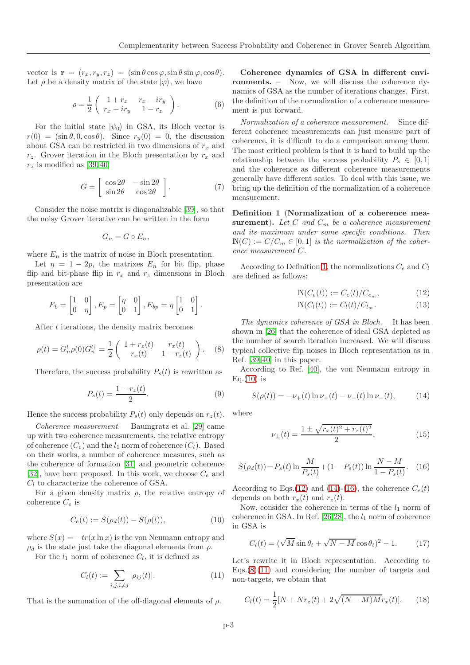vector is  $\mathbf{r} = (r_x, r_y, r_z) = (\sin \theta \cos \varphi, \sin \theta \sin \varphi, \cos \theta).$ Let  $\rho$  be a density matrix of the state  $|\varphi\rangle$ , we have

$$
\rho = \frac{1}{2} \begin{pmatrix} 1 + r_z & r_x - ir_y \\ r_x + ir_y & 1 - r_z \end{pmatrix}.
$$
 (6)

For the initial state  $|\psi_0\rangle$  in GSA, its Bloch vector is  $r(0) = (\sin \theta, 0, \cos \theta)$ . Since  $r_y(0) = 0$ , the discussion about GSA can be restricted in two dimensions of  $r_x$  and  $r_z$ . Grover iteration in the Bloch presentation by  $r_x$  and  $r_z$  is modified as [\[39,](#page-6-19) [40\]](#page-6-17)

$$
G = \left[ \begin{array}{cc} \cos 2\theta & -\sin 2\theta \\ \sin 2\theta & \cos 2\theta \end{array} \right].
$$
 (7)

Consider the noise matrix is diagonalizable [\[39\]](#page-6-19), so that the noisy Grover iterative can be written in the form

$$
G_n = G \circ E_n,
$$

where  $E_n$  is the matrix of noise in Bloch presentation.

Let  $\eta = 1 - 2p$ , the matrixes  $E_n$  for bit flip, phase flip and bit-phase flip in  $r_x$  and  $r_z$  dimensions in Bloch presentation are

$$
E_b = \begin{bmatrix} 1 & 0 \\ 0 & \eta \end{bmatrix}, E_p = \begin{bmatrix} \eta & 0 \\ 0 & 1 \end{bmatrix}, E_{bp} = \eta \begin{bmatrix} 1 & 0 \\ 0 & 1 \end{bmatrix}
$$

After t iterations, the density matrix becomes

$$
\rho(t) = G_n^t \rho(0) G_n^{t\dagger} = \frac{1}{2} \begin{pmatrix} 1 + r_z(t) & r_x(t) \\ r_x(t) & 1 - r_z(t) \end{pmatrix} . \tag{8}
$$

Therefore, the success probability  $P_s(t)$  is rewritten as

<span id="page-2-8"></span>
$$
P_s(t) = \frac{1 - r_z(t)}{2}.
$$
\n(9)

Hence the success probability  $P_s(t)$  only depends on  $r_z(t)$ .

Coherence measurement. Baumgratz et al. [\[29\]](#page-6-11) came up with two coherence measurements, the relative entropy of coherence  $(C_e)$  and the  $l_1$  norm of coherence  $(C_l)$ . Based on their works, a number of coherence measures, such as the coherence of formation [\[31\]](#page-6-21) and geometric coherence [\[32\]](#page-6-13), have been proposed. In this work, we choose  $C_e$  and  $C_l$  to characterize the coherence of GSA.

For a given density matrix  $\rho$ , the relative entropy of coherence  $C_e$  is

<span id="page-2-1"></span>
$$
C_e(t) := S(\rho_d(t)) - S(\rho(t)),
$$
\n(10)

where  $S(x) = -tr(x \ln x)$  is the von Neumann entropy and  $\rho_d$  is the state just take the diagonal elements from  $\rho$ .

For the  $l_1$  norm of coherence  $C_l$ , it is defined as

<span id="page-2-6"></span>
$$
C_l(t) := \sum_{i,j,i \neq j} |\rho_{ij}(t)|.
$$
 (11)

That is the summation of the off-diagonal elements of  $\rho$ .

Coherence dynamics of GSA in different environments. – Now, we will discuss the coherence dynamics of GSA as the number of iterations changes. First, the definition of the normalization of a coherence measurement is put forward.

Normalization of a coherence measurement. Since different coherence measurements can just measure part of coherence, it is difficult to do a comparison among them. The most critical problem is that it is hard to build up the relationship between the success probability  $P_s \in [0,1]$ and the coherence as different coherence measurements generally have different scales. To deal with this issue, we bring up the definition of the normalization of a coherence measurement.

<span id="page-2-0"></span>Definition 1 (Normalization of a coherence measurement). Let  $C$  and  $C_m$  be a coherence measurement and its maximum under some specific conditions. Then  $\mathbb{N}(C) := C/C_m \in [0,1]$  is the normalization of the coherence measurement C.

According to Definition [1,](#page-2-0) the normalizations  $C_e$  and  $C_l$ are defined as follows:

<span id="page-2-2"></span>
$$
\mathbb{N}(C_e(t)) := C_e(t)/C_{e_m},\tag{12}
$$

$$
\mathbb{N}(C_l(t)) := C_l(t)/C_{l_m}.\tag{13}
$$

The dynamics coherence of GSA in Bloch. It has been shown in [\[26\]](#page-6-14) that the coherence of ideal GSA depleted as the number of search iteration increased. We will discuss typical collective flip noises in Bloch representation as in Ref. [\[39,](#page-6-19) [40\]](#page-6-17) in this paper.

<span id="page-2-5"></span>According to Ref. [\[40\]](#page-6-17), the von Neumann entropy in  $Eq.(10)$  $Eq.(10)$  is

<span id="page-2-3"></span>
$$
S(\rho(t)) = -\nu_{+}(t)\ln \nu_{+}(t) - \nu_{-}(t)\ln \nu_{-}(t), \tag{14}
$$

where

.

$$
\nu_{\pm}(t) = \frac{1 \pm \sqrt{r_x(t)^2 + r_z(t)^2}}{2},\tag{15}
$$

<span id="page-2-4"></span>
$$
S(\rho_d(t)) = P_s(t) \ln \frac{M}{P_s(t)} + (1 - P_s(t)) \ln \frac{N - M}{1 - P_s(t)}.
$$
 (16)

According to Eqs.[\(12\)](#page-2-2) and [\(14\)](#page-2-3)-[\(16\)](#page-2-4), the coherence  $C_e(t)$ depends on both  $r_x(t)$  and  $r_z(t)$ .

Now, consider the coherence in terms of the  $l_1$  norm of coherence in GSA. In Ref. [\[26,](#page-6-14)[28\]](#page-6-10), the  $l_1$  norm of coherence in GSA is

$$
C_l(t) = (\sqrt{M}\sin\theta_t + \sqrt{N-M}\cos\theta_t)^2 - 1.
$$
 (17)

Let's rewrite it in Bloch representation. According to  $Eqs.(8)(11)$  $Eqs.(8)(11)$  $Eqs.(8)(11)$  and considering the number of targets and non-targets, we obtain that

<span id="page-2-7"></span>
$$
C_l(t) = \frac{1}{2}[N + Nr_z(t) + 2\sqrt{(N - M)Mr_x(t)}].
$$
 (18)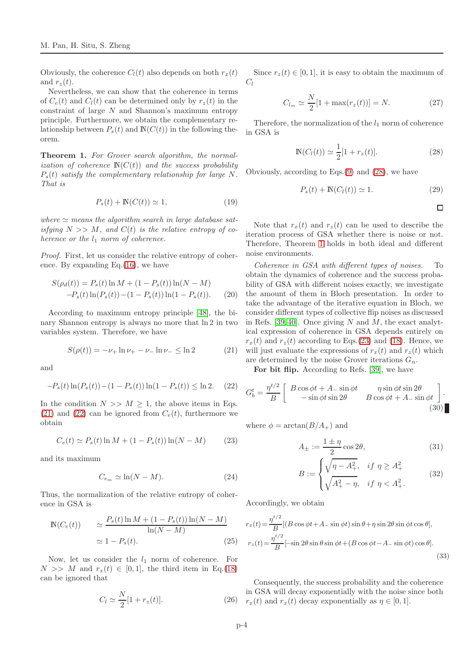Obviously, the coherence  $C_l(t)$  also depends on both  $r_x(t)$ and  $r_{z}(t)$ .

Nevertheless, we can show that the coherence in terms of  $C_e(t)$  and  $C_l(t)$  can be determined only by  $r_z(t)$  in the constraint of large  $N$  and Shannon's maximum entropy principle. Furthermore, we obtain the complementary relationship between  $P_s(t)$  and  $\mathbb{N}(C(t))$  in the following theorem.

<span id="page-3-3"></span>Theorem 1. For Grover search algorithm, the normalization of coherence  $N(C(t))$  and the success probability  $P_s(t)$  satisfy the complementary relationship for large N. That is

$$
P_s(t) + \mathbb{N}(C(t)) \simeq 1,\tag{19}
$$

where  $\simeq$  means the algorithm search in large database satisfying  $N >> M$ , and  $C(t)$  is the relative entropy of coherence or the  $l_1$  norm of coherence.

Proof. First, let us consider the relative entropy of coherence. By expanding Eq.[\(16\)](#page-2-4), we have

$$
S(\rho_d(t)) = P_s(t) \ln M + (1 - P_s(t)) \ln(N - M)
$$
  
-P<sub>s</sub>(t)  $\ln(P_s(t)) - (1 - P_s(t)) \ln(1 - P_s(t))$ . (20)

According to maximum entropy principle [\[48\]](#page-6-20), the binary Shannon entropy is always no more that ln 2 in two variables system. Therefore, we have

<span id="page-3-0"></span>
$$
S(\rho(t)) = -\nu_+ \ln \nu_+ - \nu_- \ln \nu_- \le \ln 2 \tag{21}
$$

and

<span id="page-3-1"></span>
$$
-P_s(t)\ln(P_s(t)) - (1 - P_s(t))\ln(1 - P_s(t)) \le \ln 2. \tag{22}
$$

In the condition  $N >> M \geq 1$ , the above items in Eqs. [\(21\)](#page-3-0) and [\(22\)](#page-3-1) can be ignored from  $C_e(t)$ , furthermore we obtain

<span id="page-3-4"></span>
$$
C_e(t) \simeq P_s(t) \ln M + (1 - P_s(t)) \ln(N - M) \tag{23}
$$

and its maximum

$$
C_{e_m} \simeq \ln(N - M). \tag{24}
$$

Thus, the normalization of the relative entropy of coherence in GSA is

$$
\mathbb{N}(C_e(t)) \qquad \simeq \frac{P_s(t)\ln M + (1 - P_s(t))\ln(N - M)}{\ln(N - M)} \qquad \qquad \simeq 1 - P_s(t). \tag{25}
$$

Now, let us consider the  $l_1$  norm of coherence. For  $N \gg M$  and  $r_x(t) \in [0,1]$ , the third item in Eq.[\(18\)](#page-2-7) can be ignored that

$$
C_l \simeq \frac{N}{2} [1 + r_z(t)]. \tag{26}
$$

Since  $r_z(t) \in [0, 1]$ , it is easy to obtain the maximum of  $C_l$ 

$$
C_{l_m} \simeq \frac{N}{2} [1 + \max(r_z(t))] = N.
$$
 (27)

Therefore, the normalization of the  $l_1$  norm of coherence in GSA is

<span id="page-3-2"></span>
$$
\mathbb{N}(C_l(t)) \simeq \frac{1}{2}[1 + r_z(t)].
$$
\n(28)

Obviously, according to Eqs.[\(9\)](#page-2-8) and [\(28\)](#page-3-2), we have

$$
P_s(t) + \mathbb{N}(C_l(t)) \simeq 1. \tag{29}
$$

$$
\Box
$$

Note that  $r_x(t)$  and  $r_z(t)$  can be used to describe the iteration process of GSA whether there is noise or not. Therefore, Theorem [1](#page-3-3) holds in both ideal and different noise environments.

Coherence in GSA with different types of noises. To obtain the dynamics of coherence and the success probability of GSA with different noises exactly, we investigate the amount of them in Bloch presentation. In order to take the advantage of the iterative equation in Bloch, we consider different types of collective flip noises as discussed in Refs. [\[39,](#page-6-19) [40\]](#page-6-17). Once giving N and M, the exact analytical expression of coherence in GSA depends entirely on  $r_x(t)$  and  $r_z(t)$  according to Eqs.[\(23\)](#page-3-4) and [\(18\)](#page-2-7). Hence, we will just evaluate the expressions of  $r_x(t)$  and  $r_z(t)$  which are determined by the noise Grover iterations  $G_n$ .

For bit flip. According to Refs. [\[39\]](#page-6-19), we have

$$
G_b^t = \frac{\eta^{t/2}}{B} \begin{bmatrix} B\cos\phi t + A_-\sin\phi t & \eta\sin\phi t\sin 2\theta \\ -\sin\phi t\sin 2\theta & B\cos\phi t + A_-\sin\phi t \end{bmatrix} .
$$
\n(30)

where  $\phi = \arctan(B/A_+)$  and

$$
A_{\pm} := \frac{1 \pm \eta}{2} \cos 2\theta,\tag{31}
$$

$$
B := \begin{cases} \sqrt{\eta - A_+^2}, & \text{if } \eta \ge A_+^2 \\ \sqrt{A_+^2 - \eta}, & \text{if } \eta < A_+^2. \end{cases}
$$
 (32)

Accordingly, we obtain

$$
r_x(t) = \frac{\eta^{t/2}}{B} [(B \cos \phi t + A_{-} \sin \phi t) \sin \theta + \eta \sin 2\theta \sin \phi t \cos \theta],
$$
  

$$
r_z(t) = \frac{\eta^{t/2}}{B} [-\sin 2\theta \sin \theta \sin \phi t + (B \cos \phi t - A_{-} \sin \phi t) \cos \theta].
$$
 (33)

Consequently, the success probability and the coherence in GSA will decay exponentially with the noise since both i)  $r_x(t)$  and  $r_x(t)$  decay exponentially as  $\eta \in [0,1]$ .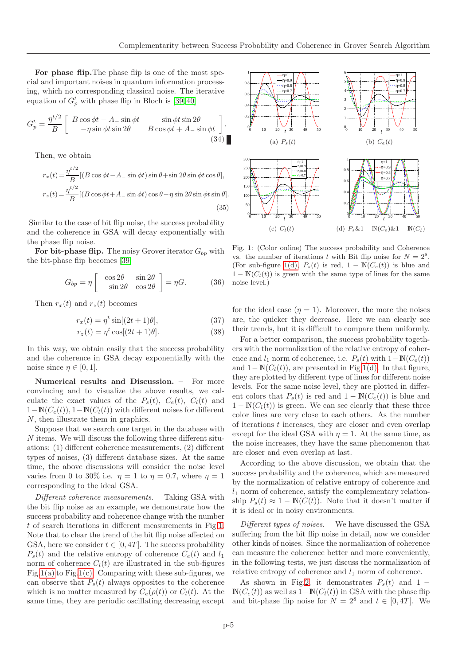For phase flip.The phase flip is one of the most special and important noises in quantum information processing, which no corresponding classical noise. The iterative equation of  $G_p^t$  with phase flip in Bloch is [\[39,](#page-6-19)40]

$$
G_p^t = \frac{\eta^{t/2}}{B} \begin{bmatrix} B\cos\phi t - A_-\sin\phi t & \sin\phi t\sin 2\theta \\ -\eta\sin\phi t\sin 2\theta & B\cos\phi t + A_-\sin\phi t \end{bmatrix} . \tag{34}
$$

Then, we obtain

$$
r_x(t) = \frac{\eta^{t/2}}{B} [(B \cos \phi t - A_{-} \sin \phi t) \sin \theta + \sin 2\theta \sin \phi t \cos \theta],
$$
  

$$
r_z(t) = \frac{\eta^{t/2}}{B} [(B \cos \phi t + A_{-} \sin \phi t) \cos \theta - \eta \sin 2\theta \sin \phi t \sin \theta].
$$
  
(35)

Similar to the case of bit flip noise, the success probability and the coherence in GSA will decay exponentially with the phase flip noise.

For bit-phase flip. The noisy Grover iterator  $G_{bp}$  with the bit-phase flip becomes [\[39\]](#page-6-19)

$$
G_{bp} = \eta \begin{bmatrix} \cos 2\theta & \sin 2\theta \\ -\sin 2\theta & \cos 2\theta \end{bmatrix} = \eta G. \quad (36)
$$

Then  $r_x(t)$  and  $r_z(t)$  becomes

$$
r_x(t) = \eta^t \sin[(2t+1)\theta],\tag{37}
$$

$$
r_z(t) = \eta^t \cos[(2t+1)\theta].\tag{38}
$$

In this way, we obtain easily that the success probability and the coherence in GSA decay exponentially with the noise since  $\eta \in [0, 1]$ .

Numerical results and Discussion. – For more convincing and to visualize the above results, we calculate the exact values of the  $P_s(t)$ ,  $C_e(t)$ ,  $C_l(t)$  and  $1-\mathbb{N}(C_e(t)), 1-\mathbb{N}(C_l(t))$  with different noises for different N, then illustrate them in graphics.

Suppose that we search one target in the database with N items. We will discuss the following three different situations: (1) different coherence measurements, (2) different types of noises, (3) different database sizes. At the same time, the above discussions will consider the noise level varies from 0 to 30% i.e.  $\eta = 1$  to  $\eta = 0.7$ , where  $\eta = 1$ corresponding to the ideal GSA.

Different coherence measurements. Taking GSA with the bit flip noise as an example, we demonstrate how the success probability and coherence change with the number t of search iterations in different measurements in Fig[.1.](#page-4-0) Note that to clear the trend of the bit flip noise affected on GSA, here we consider  $t \in [0, 4T]$ . The success probability  $P_s(t)$  and the relative entropy of coherence  $C_e(t)$  and  $l_1$ norm of coherence  $C_l(t)$  are illustrated in the sub-figures Fig[.1\(a\)](#page-4-1) to Fig[.1\(c\).](#page-4-2) Comparing with these sub-figures, we can observe that  $P_s(t)$  always opposites to the coherence which is no matter measured by  $C_e(\rho(t))$  or  $C_l(t)$ . At the same time, they are periodic oscillating decreasing except

<span id="page-4-2"></span><span id="page-4-1"></span>

<span id="page-4-3"></span><span id="page-4-0"></span>Fig. 1: (Color online) The success probability and Coherence vs. the number of iterations t with Bit flip noise for  $N = 2^8$ . (For sub-figure [1\(d\),](#page-4-3)  $P_s(t)$  is red,  $1 - \mathbb{N}(C_e(t))$  is blue and  $1 - \mathbb{N}(C_l(t))$  is green with the same type of lines for the same noise level.)

for the ideal case  $(\eta = 1)$ . Moreover, the more the noises are, the quicker they decrease. Here we can clearly see their trends, but it is difficult to compare them uniformly.

For a better comparison, the success probability togethers with the normalization of the relative entropy of coherence and  $l_1$  norm of coherence, i.e.  $P_s(t)$  with  $1-\mathbb{N}(C_e(t))$ and  $1-\mathbb{N}(C_l(t))$ , are presented in Fig[.1\(d\).](#page-4-3) In that figure, they are plotted by different type of lines for different noise levels. For the same noise level, they are plotted in different colors that  $P_s(t)$  is red and  $1 - \mathbb{N}(C_e(t))$  is blue and  $1 - N(C<sub>l</sub>(t))$  is green. We can see clearly that these three color lines are very close to each others. As the number of iterations t increases, they are closer and even overlap except for the ideal GSA with  $\eta = 1$ . At the same time, as the noise increases, they have the same phenomenon that are closer and even overlap at last.

According to the above discussion, we obtain that the success probability and the coherence, which are measured by the normalization of relative entropy of coherence and  $l_1$  norm of coherence, satisfy the complementary relationship  $P_s(t) \approx 1 - N(C(t))$ . Note that it doesn't matter if it is ideal or in noisy environments.

Different types of noises. We have discussed the GSA suffering from the bit flip noise in detail, now we consider other kinds of noises. Since the normalization of coherence can measure the coherence better and more conveniently, in the following tests, we just discuss the normalization of relative entropy of coherence and  $l_1$  norm of coherence.

As shown in Fig[.2,](#page-5-0) it demonstrates  $P_s(t)$  and 1 −  $N(C_e(t))$  as well as  $1-N(C_l(t))$  in GSA with the phase flip and bit-phase flip noise for  $N = 2^8$  and  $t \in [0, 4T]$ . We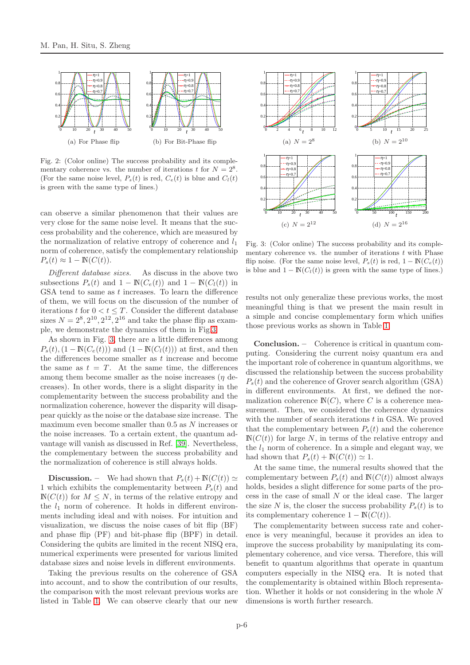

<span id="page-5-0"></span>Fig. 2: (Color online) The success probability and its complementary coherence vs. the number of iterations t for  $N = 2^8$ . (For the same noise level,  $P_s(t)$  is red,  $C_e(t)$  is blue and  $C_l(t)$ ) is green with the same type of lines.)

can observe a similar phenomenon that their values are very close for the same noise level. It means that the success probability and the coherence, which are measured by the normalization of relative entropy of coherence and  $l_1$ norm of coherence, satisfy the complementary relationship  $P_s(t) \approx 1 - \mathbb{N}(C(t)).$ 

Different database sizes. As discuss in the above two subsections  $P_s(t)$  and  $1 - \mathbb{N}(C_e(t))$  and  $1 - \mathbb{N}(C_l(t))$  in GSA tend to same as t increases. To learn the difference of them, we will focus on the discussion of the number of iterations t for  $0 < t < T$ . Consider the different database sizes  $N = 2^8, 2^{10}, 2^{12}, 2^{16}$  and take the phase flip as example, we demonstrate the dynamics of them in Fig[.3.](#page-5-1)

As shown in Fig. [3,](#page-5-1) there are a little differences among  $P_s(t)$ ,  $(1 - \mathbb{N}(C_e(t)))$  and  $(1 - \mathbb{N}(C_l(t)))$  at first, and then the differences become smaller as  $t$  increase and become the same as  $t = T$ . At the same time, the differences among them become smaller as the noise increases  $(\eta$  decreases). In other words, there is a slight disparity in the complementarity between the success probability and the normalization coherence, however the disparity will disappear quickly as the noise or the database size increase. The maximum even become smaller than 0.5 as N increases or the noise increases. To a certain extent, the quantum advantage will vanish as discussed in Ref. [\[39\]](#page-6-19). Nevertheless, the complementary between the success probability and the normalization of coherence is still always holds.

**Discussion.** – We had shown that  $P_s(t) + \mathbb{N}(C(t)) \simeq$ 1 which exhibits the complementarity between  $P_s(t)$  and  $N(C(t))$  for  $M \leq N$ , in terms of the relative entropy and the  $l_1$  norm of coherence. It holds in different environments including ideal and with noises. For intuition and visualization, we discuss the noise cases of bit flip (BF) and phase flip (PF) and bit-phase flip (BPF) in detail. Considering the qubits are limited in the recent NISQ era, numerical experiments were presented for various limited database sizes and noise levels in different environments.

Taking the previous results on the coherence of GSA into account, and to show the contribution of our results, the comparison with the most relevant previous works are listed in Table [1.](#page-6-22) We can observe clearly that our new



<span id="page-5-1"></span>Fig. 3: (Color online) The success probability and its complementary coherence vs. the number of iterations  $t$  with Phase flip noise. (For the same noise level,  $P_s(t)$  is red,  $1 - \mathbb{N}(C_e(t))$ ) is blue and  $1 - \mathbb{N}(C_l(t))$  is green with the same type of lines.)

results not only generalize these previous works, the most meaningful thing is that we present the main result in a simple and concise complementary form which unifies those previous works as shown in Table [1.](#page-6-22)

Conclusion. – Coherence is critical in quantum computing. Considering the current noisy quantum era and the important role of coherence in quantum algorithms, we discussed the relationship between the success probability  $P<sub>s</sub>(t)$  and the coherence of Grover search algorithm (GSA) in different environments. At first, we defined the normalization coherence  $N(C)$ , where C is a coherence measurement. Then, we considered the coherence dynamics with the number of search iterations  $t$  in GSA. We proved that the complementary between  $P_s(t)$  and the coherence  $N(C(t))$  for large N, in terms of the relative entropy and the  $l_1$  norm of coherence. In a simple and elegant way, we had shown that  $P_s(t) + \mathbb{N}(C(t)) \simeq 1$ .

At the same time, the numeral results showed that the complementary between  $P_s(t)$  and  $\mathbb{N}(C(t))$  almost always holds, besides a slight difference for some parts of the process in the case of small N or the ideal case. The larger the size N is, the closer the success probability  $P_s(t)$  is to its complementary coherence  $1 - \mathbb{N}(C(t)).$ 

The complementarity between success rate and coherence is very meaningful, because it provides an idea to improve the success probability by manipulating its complementary coherence, and vice versa. Therefore, this will benefit to quantum algorithms that operate in quantum computers especially in the NISQ era. It is noted that the complementarity is obtained within Bloch representation. Whether it holds or not considering in the whole  $N$ dimensions is worth further research.